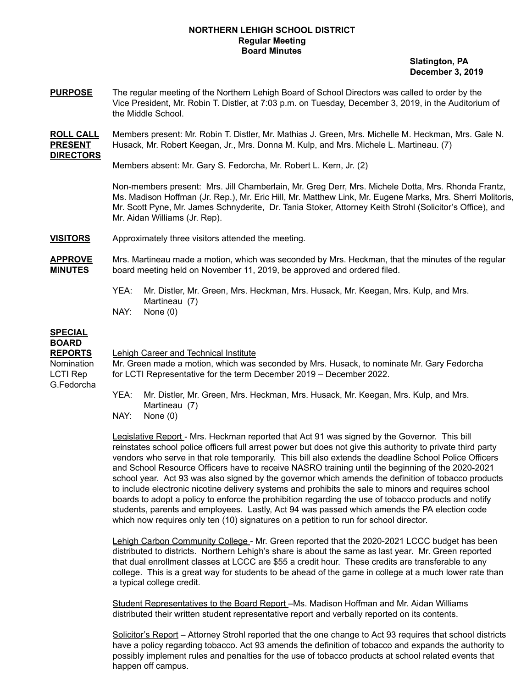## **NORTHERN LEHIGH SCHOOL DISTRICT Regular Meeting Board Minutes**

**Slatington, PA December 3, 2019**

**PURPOSE** The regular meeting of the Northern Lehigh Board of School Directors was called to order by the Vice President, Mr. Robin T. Distler, at 7:03 p.m. on Tuesday, December 3, 2019, in the Auditorium of the Middle School.

**ROLL CALL** Members present: Mr. Robin T. Distler, Mr. Mathias J. Green, Mrs. Michelle M. Heckman, Mrs. Gale N. **PRESENT** Husack, Mr. Robert Keegan, Jr., Mrs. Donna M. Kulp, and Mrs. Michele L. Martineau. (7) **DIRECTORS**

Members absent: Mr. Gary S. Fedorcha, Mr. Robert L. Kern, Jr. (2)

Non-members present: Mrs. Jill Chamberlain, Mr. Greg Derr, Mrs. Michele Dotta, Mrs. Rhonda Frantz, Ms. Madison Hoffman (Jr. Rep.), Mr. Eric Hill, Mr. Matthew Link, Mr. Eugene Marks, Mrs. Sherri Molitoris, Mr. Scott Pyne, Mr. James Schnyderite, Dr. Tania Stoker, Attorney Keith Strohl (Solicitor's Office), and Mr. Aidan Williams (Jr. Rep).

**VISITORS** Approximately three visitors attended the meeting.

**APPROVE** Mrs. Martineau made a motion, which was seconded by Mrs. Heckman, that the minutes of the regular **MINUTES** board meeting held on November 11, 2019, be approved and ordered filed.

- YEA: Mr. Distler, Mr. Green, Mrs. Heckman, Mrs. Husack, Mr. Keegan, Mrs. Kulp, and Mrs. Martineau (7)
- NAY: None (0)

## **SPECIAL BOARD**

G.Fedorcha

## **REPORTS** Lehigh Career and Technical Institute

Nomination Mr. Green made a motion, which was seconded by Mrs. Husack, to nominate Mr. Gary Fedorcha LCTI Rep for LCTI Representative for the term December 2019 – December 2022.

> YEA: Mr. Distler, Mr. Green, Mrs. Heckman, Mrs. Husack, Mr. Keegan, Mrs. Kulp, and Mrs. Martineau (7)

NAY: None (0)

Legislative Report - Mrs. Heckman reported that Act 91 was signed by the Governor. This bill reinstates school police officers full arrest power but does not give this authority to private third party vendors who serve in that role temporarily. This bill also extends the deadline School Police Officers and School Resource Officers have to receive NASRO training until the beginning of the 2020-2021 school year. Act 93 was also signed by the governor which amends the definition of tobacco products to include electronic nicotine delivery systems and prohibits the sale to minors and requires school boards to adopt a policy to enforce the prohibition regarding the use of tobacco products and notify students, parents and employees. Lastly, Act 94 was passed which amends the PA election code which now requires only ten (10) signatures on a petition to run for school director.

Lehigh Carbon Community College - Mr. Green reported that the 2020-2021 LCCC budget has been distributed to districts. Northern Lehigh's share is about the same as last year. Mr. Green reported that dual enrollment classes at LCCC are \$55 a credit hour. These credits are transferable to any college. This is a great way for students to be ahead of the game in college at a much lower rate than a typical college credit.

Student Representatives to the Board Report –Ms. Madison Hoffman and Mr. Aidan Williams distributed their written student representative report and verbally reported on its contents.

Solicitor's Report – Attorney Strohl reported that the one change to Act 93 requires that school districts have a policy regarding tobacco. Act 93 amends the definition of tobacco and expands the authority to possibly implement rules and penalties for the use of tobacco products at school related events that happen off campus.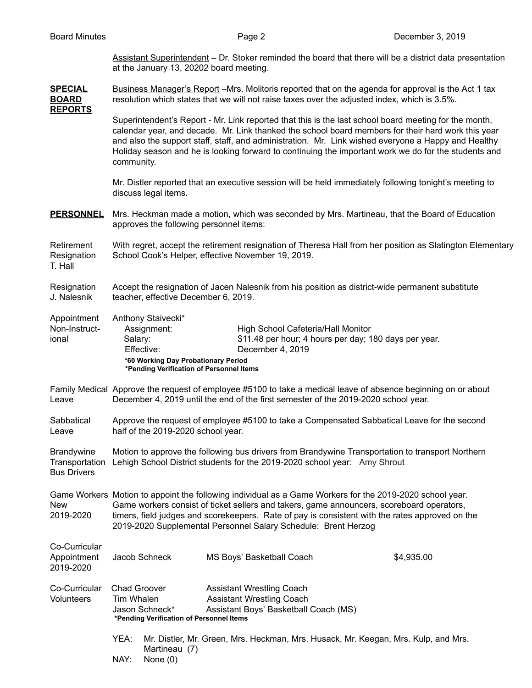Assistant Superintendent – Dr. Stoker reminded the board that there will be a district data presentation at the January 13, 20202 board meeting.

**SPECIAL** Business Manager's Report –Mrs. Molitoris reported that on the agenda for approval is the Act 1 tax **BOARD** resolution which states that we will not raise taxes over the adjusted index, which is 3.5%.

**REPORTS**

Superintendent's Report - Mr. Link reported that this is the last school board meeting for the month, calendar year, and decade. Mr. Link thanked the school board members for their hard work this year and also the support staff, staff, and administration. Mr. Link wished everyone a Happy and Healthy Holiday season and he is looking forward to continuing the important work we do for the students and community.

Mr. Distler reported that an executive session will be held immediately following tonight's meeting to discuss legal items.

**PERSONNEL** Mrs. Heckman made a motion, which was seconded by Mrs. Martineau, that the Board of Education approves the following personnel items:

Retirement With regret, accept the retirement resignation of Theresa Hall from her position as Slatington Elementary Resignation School Cook's Helper, effective November 19, 2019. T. Hall

Resignation Accept the resignation of Jacen Nalesnik from his position as district-wide permanent substitute J. Nalesnik teacher, effective December 6, 2019.

| Appointment   | Anthony Staivecki*                       |                                                       |  |
|---------------|------------------------------------------|-------------------------------------------------------|--|
| Non-Instruct- | Assignment:                              | High School Cafeteria/Hall Monitor                    |  |
| ional         | Salary:                                  | \$11.48 per hour; 4 hours per day; 180 days per year. |  |
|               | Effective:                               | December 4, 2019                                      |  |
|               | *60 Working Day Probationary Period      |                                                       |  |
|               | *Pending Verification of Personnel Items |                                                       |  |

- Family Medical Approve the request of employee #5100 to take a medical leave of absence beginning on or about Leave December 4, 2019 until the end of the first semester of the 2019-2020 school year.
- Sabbatical Approve the request of employee #5100 to take a Compensated Sabbatical Leave for the second Leave half of the 2019-2020 school year.

Brandywine Motion to approve the following bus drivers from Brandywine Transportation to transport Northern Transportation Lehigh School District students for the 2019-2020 school year: Amy Shrout Bus Drivers

Game Workers Motion to appoint the following individual as a Game Workers for the 2019-2020 school year. New Game workers consist of ticket sellers and takers, game announcers, scoreboard operators, 2019-2020 timers, field judges and scorekeepers. Rate of pay is consistent with the rates approved on the 2019-2020 Supplemental Personnel Salary Schedule: Brent Herzog

| Co-Curricular<br>Appointment<br>2019-2020 |              | Jacob Schneck                                                                     | MS Boys' Basketball Coach                                                                                     | \$4,935.00 |
|-------------------------------------------|--------------|-----------------------------------------------------------------------------------|---------------------------------------------------------------------------------------------------------------|------------|
| Co-Curricular<br><b>Volunteers</b>        | Tim Whalen   | <b>Chad Groover</b><br>Jason Schneck*<br>*Pending Verification of Personnel Items | <b>Assistant Wrestling Coach</b><br><b>Assistant Wrestling Coach</b><br>Assistant Boys' Basketball Coach (MS) |            |
|                                           | YEA:<br>NAY: | Martineau (7)<br>None $(0)$                                                       | Mr. Distler, Mr. Green, Mrs. Heckman, Mrs. Husack, Mr. Keegan, Mrs. Kulp, and Mrs.                            |            |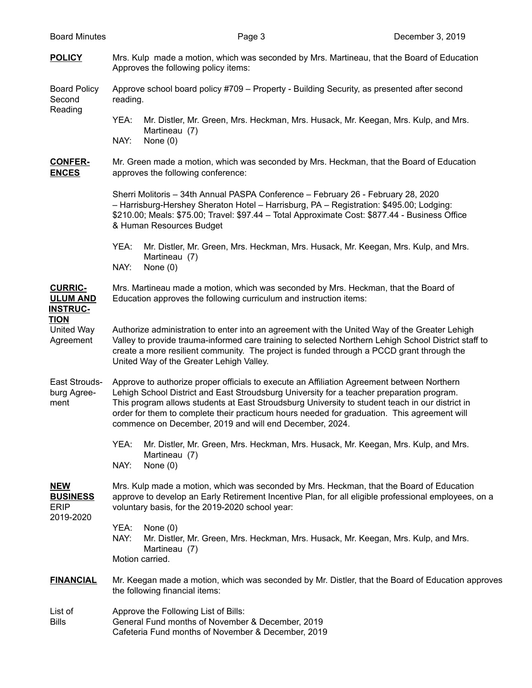- **POLICY** Mrs. Kulp made a motion, which was seconded by Mrs. Martineau, that the Board of Education Approves the following policy items: Board Policy Approve school board policy #709 – Property - Building Security, as presented after second Second reading. Reading YEA: Mr. Distler, Mr. Green, Mrs. Heckman, Mrs. Husack, Mr. Keegan, Mrs. Kulp, and Mrs. Martineau (7) NAY: None (0) **CONFER-** Mr. Green made a motion, which was seconded by Mrs. Heckman, that the Board of Education **ENCES** approves the following conference: Sherri Molitoris – 34th Annual PASPA Conference – February 26 - February 28, 2020 – Harrisburg-Hershey Sheraton Hotel – Harrisburg, PA – Registration: \$495.00; Lodging: \$210.00; Meals: \$75.00; Travel: \$97.44 – Total Approximate Cost: \$877.44 - Business Office & Human Resources Budget YEA: Mr. Distler, Mr. Green, Mrs. Heckman, Mrs. Husack, Mr. Keegan, Mrs. Kulp, and Mrs. Martineau (7) NAY: None (0) **CURRIC-** Mrs. Martineau made a motion, which was seconded by Mrs. Heckman, that the Board of **ULUM AND** Education approves the following curriculum and instruction items: **INSTRUC-TION** United Way Authorize administration to enter into an agreement with the United Way of the Greater Lehigh Agreement Valley to provide trauma-informed care training to selected Northern Lehigh School District staff to create a more resilient community. The project is funded through a PCCD grant through the United Way of the Greater Lehigh Valley. East Strouds- Approve to authorize proper officials to execute an Affiliation Agreement between Northern burg Agree- Lehigh School District and East Stroudsburg University for a teacher preparation program. ment This program allows students at East Stroudsburg University to student teach in our district in order for them to complete their practicum hours needed for graduation. This agreement will commence on December, 2019 and will end December, 2024. YEA: Mr. Distler, Mr. Green, Mrs. Heckman, Mrs. Husack, Mr. Keegan, Mrs. Kulp, and Mrs. Martineau (7) NAY: None (0) **NEW** Mrs. Kulp made a motion, which was seconded by Mrs. Heckman, that the Board of Education **BUSINESS** approve to develop an Early Retirement Incentive Plan, for all eligible professional employees, on a ERIP voluntary basis, for the 2019-2020 school year: 2019-2020 YEA: None (0) NAY: Mr. Distler, Mr. Green, Mrs. Heckman, Mrs. Husack, Mr. Keegan, Mrs. Kulp, and Mrs. Martineau (7) Motion carried. **FINANCIAL** Mr. Keegan made a motion, which was seconded by Mr. Distler, that the Board of Education approves the following financial items: List of **Approve the Following List of Bills:** Bills General Fund months of November & December, 2019
	- Cafeteria Fund months of November & December, 2019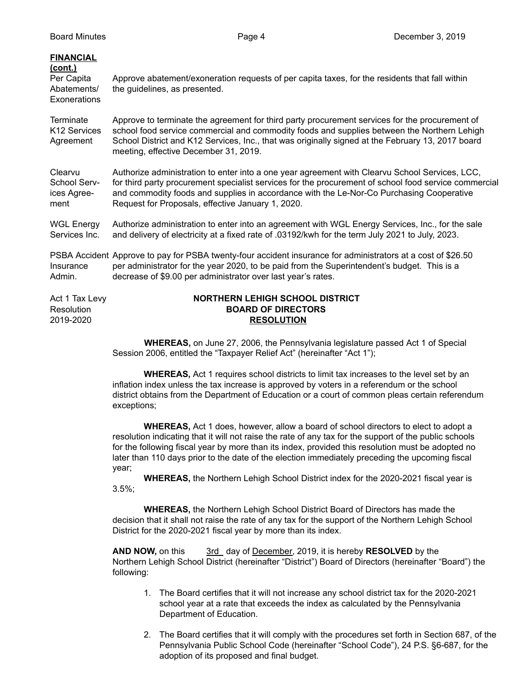| <b>FINANCIAL</b><br>(cont.)<br>Per Capita<br>Abatements/<br>Exonerations | Approve abatement/exoneration requests of per capita taxes, for the residents that fall within<br>the guidelines, as presented.                                                                                                                                                                                                             |  |  |  |
|--------------------------------------------------------------------------|---------------------------------------------------------------------------------------------------------------------------------------------------------------------------------------------------------------------------------------------------------------------------------------------------------------------------------------------|--|--|--|
| <b>Terminate</b><br>K <sub>12</sub> Services<br>Agreement                | Approve to terminate the agreement for third party procurement services for the procurement of<br>school food service commercial and commodity foods and supplies between the Northern Lehigh<br>School District and K12 Services, Inc., that was originally signed at the February 13, 2017 board<br>meeting, effective December 31, 2019. |  |  |  |
| Clearvu                                                                  | Authorize administration to enter into a one year agreement with Clearvu School Services, LCC,                                                                                                                                                                                                                                              |  |  |  |
| School Serv-                                                             | for third party procurement specialist services for the procurement of school food service commercial                                                                                                                                                                                                                                       |  |  |  |
| ices Agree-                                                              | and commodity foods and supplies in accordance with the Le-Nor-Co Purchasing Cooperative                                                                                                                                                                                                                                                    |  |  |  |
| ment                                                                     | Request for Proposals, effective January 1, 2020.                                                                                                                                                                                                                                                                                           |  |  |  |
| <b>WGL Energy</b>                                                        | Authorize administration to enter into an agreement with WGL Energy Services, Inc., for the sale                                                                                                                                                                                                                                            |  |  |  |
| Services Inc.                                                            | and delivery of electricity at a fixed rate of .03192/kwh for the term July 2021 to July, 2023.                                                                                                                                                                                                                                             |  |  |  |
| Insurance<br>Admin.                                                      | PSBA Accident Approve to pay for PSBA twenty-four accident insurance for administrators at a cost of \$26.50<br>per administrator for the year 2020, to be paid from the Superintendent's budget. This is a<br>decrease of \$9.00 per administrator over last year's rates.                                                                 |  |  |  |
| Act 1 Tax Levy                                                           | <b>NORTHERN LEHIGH SCHOOL DISTRICT</b>                                                                                                                                                                                                                                                                                                      |  |  |  |
| Resolution                                                               | <b>BOARD OF DIRECTORS</b>                                                                                                                                                                                                                                                                                                                   |  |  |  |
| 2019-2020                                                                | <b>RESOLUTION</b>                                                                                                                                                                                                                                                                                                                           |  |  |  |

**WHEREAS,** on June 27, 2006, the Pennsylvania legislature passed Act 1 of Special Session 2006, entitled the "Taxpayer Relief Act" (hereinafter "Act 1");

**WHEREAS,** Act 1 requires school districts to limit tax increases to the level set by an inflation index unless the tax increase is approved by voters in a referendum or the school district obtains from the Department of Education or a court of common pleas certain referendum exceptions;

**WHEREAS,** Act 1 does, however, allow a board of school directors to elect to adopt a resolution indicating that it will not raise the rate of any tax for the support of the public schools for the following fiscal year by more than its index, provided this resolution must be adopted no later than 110 days prior to the date of the election immediately preceding the upcoming fiscal year;

**WHEREAS,** the Northern Lehigh School District index for the 2020-2021 fiscal year is 3.5%;

**WHEREAS,** the Northern Lehigh School District Board of Directors has made the decision that it shall not raise the rate of any tax for the support of the Northern Lehigh School District for the 2020-2021 fiscal year by more than its index.

**AND NOW,** on this 3rd day of December, 2019, it is hereby **RESOLVED** by the Northern Lehigh School District (hereinafter "District") Board of Directors (hereinafter "Board") the following:

- 1. The Board certifies that it will not increase any school district tax for the 2020-2021 school year at a rate that exceeds the index as calculated by the Pennsylvania Department of Education.
- 2. The Board certifies that it will comply with the procedures set forth in Section 687, of the Pennsylvania Public School Code (hereinafter "School Code"), 24 P.S. §6-687, for the adoption of its proposed and final budget.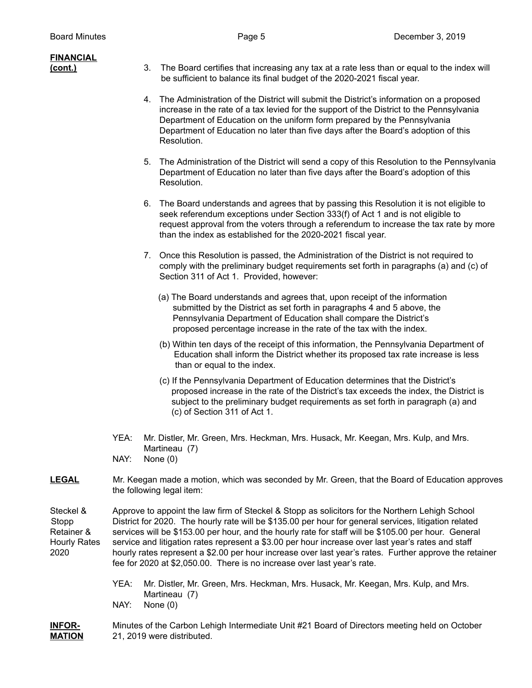| <u>FINANCIAL</u><br><u>(cont.)</u>                              | 3.                                                                                                                                                                                                                                                                                                                                                                                                                                                                                                                                                                                                          | The Board certifies that increasing any tax at a rate less than or equal to the index will<br>be sufficient to balance its final budget of the 2020-2021 fiscal year.                                                                                                                                                                                                |  |
|-----------------------------------------------------------------|-------------------------------------------------------------------------------------------------------------------------------------------------------------------------------------------------------------------------------------------------------------------------------------------------------------------------------------------------------------------------------------------------------------------------------------------------------------------------------------------------------------------------------------------------------------------------------------------------------------|----------------------------------------------------------------------------------------------------------------------------------------------------------------------------------------------------------------------------------------------------------------------------------------------------------------------------------------------------------------------|--|
|                                                                 | 4.                                                                                                                                                                                                                                                                                                                                                                                                                                                                                                                                                                                                          | The Administration of the District will submit the District's information on a proposed<br>increase in the rate of a tax levied for the support of the District to the Pennsylvania<br>Department of Education on the uniform form prepared by the Pennsylvania<br>Department of Education no later than five days after the Board's adoption of this<br>Resolution. |  |
|                                                                 |                                                                                                                                                                                                                                                                                                                                                                                                                                                                                                                                                                                                             | 5. The Administration of the District will send a copy of this Resolution to the Pennsylvania<br>Department of Education no later than five days after the Board's adoption of this<br>Resolution.                                                                                                                                                                   |  |
|                                                                 |                                                                                                                                                                                                                                                                                                                                                                                                                                                                                                                                                                                                             | 6. The Board understands and agrees that by passing this Resolution it is not eligible to<br>seek referendum exceptions under Section 333(f) of Act 1 and is not eligible to<br>request approval from the voters through a referendum to increase the tax rate by more<br>than the index as established for the 2020-2021 fiscal year.                               |  |
|                                                                 |                                                                                                                                                                                                                                                                                                                                                                                                                                                                                                                                                                                                             | 7. Once this Resolution is passed, the Administration of the District is not required to<br>comply with the preliminary budget requirements set forth in paragraphs (a) and (c) of<br>Section 311 of Act 1. Provided, however:                                                                                                                                       |  |
|                                                                 |                                                                                                                                                                                                                                                                                                                                                                                                                                                                                                                                                                                                             | (a) The Board understands and agrees that, upon receipt of the information<br>submitted by the District as set forth in paragraphs 4 and 5 above, the<br>Pennsylvania Department of Education shall compare the District's<br>proposed percentage increase in the rate of the tax with the index.                                                                    |  |
|                                                                 |                                                                                                                                                                                                                                                                                                                                                                                                                                                                                                                                                                                                             | (b) Within ten days of the receipt of this information, the Pennsylvania Department of<br>Education shall inform the District whether its proposed tax rate increase is less<br>than or equal to the index.                                                                                                                                                          |  |
|                                                                 |                                                                                                                                                                                                                                                                                                                                                                                                                                                                                                                                                                                                             | (c) If the Pennsylvania Department of Education determines that the District's<br>proposed increase in the rate of the District's tax exceeds the index, the District is<br>subject to the preliminary budget requirements as set forth in paragraph (a) and<br>(c) of Section 311 of Act 1.                                                                         |  |
|                                                                 | YEA:<br>NAY:                                                                                                                                                                                                                                                                                                                                                                                                                                                                                                                                                                                                | Mr. Distler, Mr. Green, Mrs. Heckman, Mrs. Husack, Mr. Keegan, Mrs. Kulp, and Mrs.<br>Martineau (7)<br>None $(0)$                                                                                                                                                                                                                                                    |  |
| <u>LEGAL</u>                                                    | Mr. Keegan made a motion, which was seconded by Mr. Green, that the Board of Education approves<br>the following legal item:                                                                                                                                                                                                                                                                                                                                                                                                                                                                                |                                                                                                                                                                                                                                                                                                                                                                      |  |
| Steckel &<br>Stopp<br>Retainer &<br><b>Hourly Rates</b><br>2020 | Approve to appoint the law firm of Steckel & Stopp as solicitors for the Northern Lehigh School<br>District for 2020. The hourly rate will be \$135.00 per hour for general services, litigation related<br>services will be \$153.00 per hour, and the hourly rate for staff will be \$105.00 per hour. General<br>service and litigation rates represent a \$3.00 per hour increase over last year's rates and staff<br>hourly rates represent a \$2.00 per hour increase over last year's rates. Further approve the retainer<br>fee for 2020 at \$2,050.00. There is no increase over last year's rate. |                                                                                                                                                                                                                                                                                                                                                                      |  |
|                                                                 | YEA:<br>NAY:                                                                                                                                                                                                                                                                                                                                                                                                                                                                                                                                                                                                | Mr. Distler, Mr. Green, Mrs. Heckman, Mrs. Husack, Mr. Keegan, Mrs. Kulp, and Mrs.<br>Martineau (7)<br>None $(0)$                                                                                                                                                                                                                                                    |  |

**INFOR-** Minutes of the Carbon Lehigh Intermediate Unit #21 Board of Directors meeting held on October **MATION** 21, 2019 were distributed. 21, 2019 were distributed.